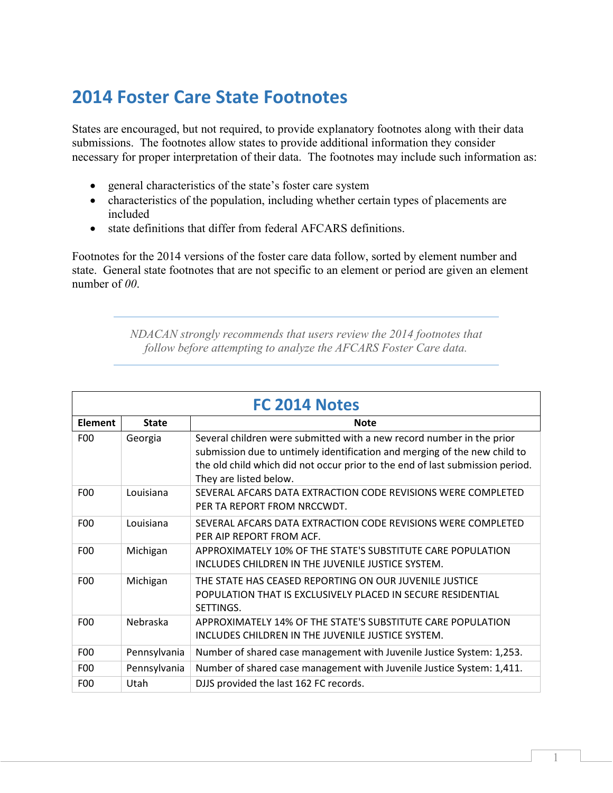## **2014 Foster Care State Footnotes**

States are encouraged, but not required, to provide explanatory footnotes along with their data submissions. The footnotes allow states to provide additional information they consider necessary for proper interpretation of their data. The footnotes may include such information as:

- general characteristics of the state's foster care system
- characteristics of the population, including whether certain types of placements are included
- state definitions that differ from federal AFCARS definitions.

Footnotes for the 2014 versions of the foster care data follow, sorted by element number and state. General state footnotes that are not specific to an element or period are given an element number of *00*.

> *NDACAN strongly recommends that users review the 2014 footnotes that follow before attempting to analyze the AFCARS Foster Care data.*

| FC 2014 Notes   |              |                                                                                                                                                                                                                                                               |
|-----------------|--------------|---------------------------------------------------------------------------------------------------------------------------------------------------------------------------------------------------------------------------------------------------------------|
| <b>Element</b>  | <b>State</b> | <b>Note</b>                                                                                                                                                                                                                                                   |
| F <sub>0</sub>  | Georgia      | Several children were submitted with a new record number in the prior<br>submission due to untimely identification and merging of the new child to<br>the old child which did not occur prior to the end of last submission period.<br>They are listed below. |
| F <sub>0</sub>  | Louisiana    | SEVERAL AFCARS DATA EXTRACTION CODE REVISIONS WERE COMPLETED<br>PER TA REPORT FROM NRCCWDT.                                                                                                                                                                   |
| F00             | Louisiana    | SEVERAL AFCARS DATA EXTRACTION CODE REVISIONS WERE COMPLETED<br>PER AIP REPORT FROM ACE.                                                                                                                                                                      |
| F <sub>00</sub> | Michigan     | APPROXIMATELY 10% OF THE STATE'S SUBSTITUTE CARE POPULATION<br>INCLUDES CHILDREN IN THE JUVENILE JUSTICE SYSTEM.                                                                                                                                              |
| F <sub>0</sub>  | Michigan     | THE STATE HAS CEASED REPORTING ON OUR JUVENILE JUSTICE<br>POPULATION THAT IS EXCLUSIVELY PLACED IN SECURE RESIDENTIAL<br>SETTINGS.                                                                                                                            |
| F <sub>00</sub> | Nebraska     | APPROXIMATELY 14% OF THE STATE'S SUBSTITUTE CARE POPULATION<br>INCLUDES CHILDREN IN THE JUVENILE JUSTICE SYSTEM.                                                                                                                                              |
| F <sub>0</sub>  | Pennsylvania | Number of shared case management with Juvenile Justice System: 1,253.                                                                                                                                                                                         |
| F <sub>0</sub>  | Pennsylvania | Number of shared case management with Juvenile Justice System: 1,411.                                                                                                                                                                                         |
| F <sub>00</sub> | Utah         | DJJS provided the last 162 FC records.                                                                                                                                                                                                                        |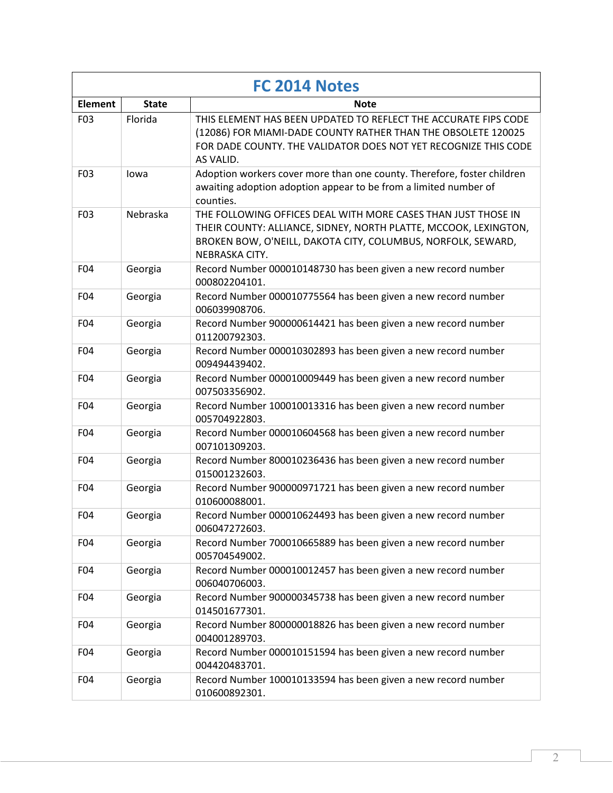| FC 2014 Notes   |              |                                                                                                                                                                                                                     |
|-----------------|--------------|---------------------------------------------------------------------------------------------------------------------------------------------------------------------------------------------------------------------|
| <b>Element</b>  | <b>State</b> | Note                                                                                                                                                                                                                |
| F03             | Florida      | THIS ELEMENT HAS BEEN UPDATED TO REFLECT THE ACCURATE FIPS CODE<br>(12086) FOR MIAMI-DADE COUNTY RATHER THAN THE OBSOLETE 120025<br>FOR DADE COUNTY. THE VALIDATOR DOES NOT YET RECOGNIZE THIS CODE<br>AS VALID.    |
| F03             | lowa         | Adoption workers cover more than one county. Therefore, foster children<br>awaiting adoption adoption appear to be from a limited number of<br>counties.                                                            |
| F03             | Nebraska     | THE FOLLOWING OFFICES DEAL WITH MORE CASES THAN JUST THOSE IN<br>THEIR COUNTY: ALLIANCE, SIDNEY, NORTH PLATTE, MCCOOK, LEXINGTON,<br>BROKEN BOW, O'NEILL, DAKOTA CITY, COLUMBUS, NORFOLK, SEWARD,<br>NEBRASKA CITY. |
| F04             | Georgia      | Record Number 000010148730 has been given a new record number<br>000802204101.                                                                                                                                      |
| F04             | Georgia      | Record Number 000010775564 has been given a new record number<br>006039908706.                                                                                                                                      |
| F04             | Georgia      | Record Number 900000614421 has been given a new record number<br>011200792303.                                                                                                                                      |
| F04             | Georgia      | Record Number 000010302893 has been given a new record number<br>009494439402.                                                                                                                                      |
| F04             | Georgia      | Record Number 000010009449 has been given a new record number<br>007503356902.                                                                                                                                      |
| F04             | Georgia      | Record Number 100010013316 has been given a new record number<br>005704922803.                                                                                                                                      |
| F04             | Georgia      | Record Number 000010604568 has been given a new record number<br>007101309203.                                                                                                                                      |
| F04             | Georgia      | Record Number 800010236436 has been given a new record number<br>015001232603.                                                                                                                                      |
| F04             | Georgia      | Record Number 900000971721 has been given a new record number<br>010600088001.                                                                                                                                      |
| F04             | Georgia      | Record Number 000010624493 has been given a new record number<br>006047272603.                                                                                                                                      |
| F04             | Georgia      | Record Number 700010665889 has been given a new record number<br>005704549002.                                                                                                                                      |
| F04             | Georgia      | Record Number 000010012457 has been given a new record number<br>006040706003.                                                                                                                                      |
| F04             | Georgia      | Record Number 900000345738 has been given a new record number<br>014501677301.                                                                                                                                      |
| F <sub>04</sub> | Georgia      | Record Number 800000018826 has been given a new record number<br>004001289703.                                                                                                                                      |
| F04             | Georgia      | Record Number 000010151594 has been given a new record number<br>004420483701.                                                                                                                                      |
| F04             | Georgia      | Record Number 100010133594 has been given a new record number<br>010600892301.                                                                                                                                      |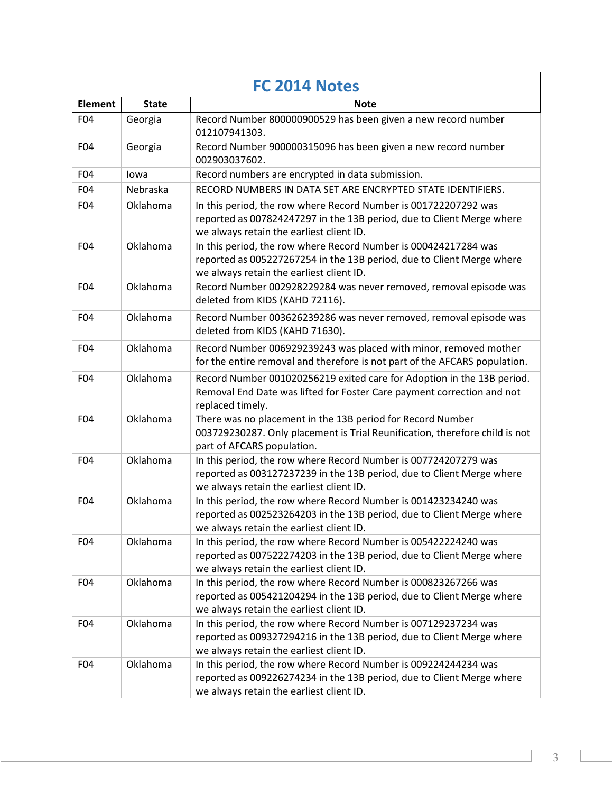| FC 2014 Notes   |              |                                                                                                                                                                                      |
|-----------------|--------------|--------------------------------------------------------------------------------------------------------------------------------------------------------------------------------------|
| <b>Element</b>  | <b>State</b> | <b>Note</b>                                                                                                                                                                          |
| F04             | Georgia      | Record Number 800000900529 has been given a new record number<br>012107941303.                                                                                                       |
| F04             | Georgia      | Record Number 900000315096 has been given a new record number<br>002903037602.                                                                                                       |
| F04             | lowa         | Record numbers are encrypted in data submission.                                                                                                                                     |
| F04             | Nebraska     | RECORD NUMBERS IN DATA SET ARE ENCRYPTED STATE IDENTIFIERS.                                                                                                                          |
| F04             | Oklahoma     | In this period, the row where Record Number is 001722207292 was<br>reported as 007824247297 in the 13B period, due to Client Merge where<br>we always retain the earliest client ID. |
| F04             | Oklahoma     | In this period, the row where Record Number is 000424217284 was<br>reported as 005227267254 in the 13B period, due to Client Merge where<br>we always retain the earliest client ID. |
| F04             | Oklahoma     | Record Number 002928229284 was never removed, removal episode was<br>deleted from KIDS (KAHD 72116).                                                                                 |
| F04             | Oklahoma     | Record Number 003626239286 was never removed, removal episode was<br>deleted from KIDS (KAHD 71630).                                                                                 |
| F04             | Oklahoma     | Record Number 006929239243 was placed with minor, removed mother<br>for the entire removal and therefore is not part of the AFCARS population.                                       |
| F04             | Oklahoma     | Record Number 001020256219 exited care for Adoption in the 13B period.<br>Removal End Date was lifted for Foster Care payment correction and not<br>replaced timely.                 |
| F04             | Oklahoma     | There was no placement in the 13B period for Record Number<br>003729230287. Only placement is Trial Reunification, therefore child is not<br>part of AFCARS population.              |
| F04             | Oklahoma     | In this period, the row where Record Number is 007724207279 was<br>reported as 003127237239 in the 13B period, due to Client Merge where<br>we always retain the earliest client ID. |
| F04             | Oklahoma     | In this period, the row where Record Number is 001423234240 was<br>reported as 002523264203 in the 13B period, due to Client Merge where<br>we always retain the earliest client ID. |
| F <sub>04</sub> | Oklahoma     | In this period, the row where Record Number is 005422224240 was<br>reported as 007522274203 in the 13B period, due to Client Merge where<br>we always retain the earliest client ID. |
| F04             | Oklahoma     | In this period, the row where Record Number is 000823267266 was<br>reported as 005421204294 in the 13B period, due to Client Merge where<br>we always retain the earliest client ID. |
| F04             | Oklahoma     | In this period, the row where Record Number is 007129237234 was<br>reported as 009327294216 in the 13B period, due to Client Merge where<br>we always retain the earliest client ID. |
| F04             | Oklahoma     | In this period, the row where Record Number is 009224244234 was<br>reported as 009226274234 in the 13B period, due to Client Merge where<br>we always retain the earliest client ID. |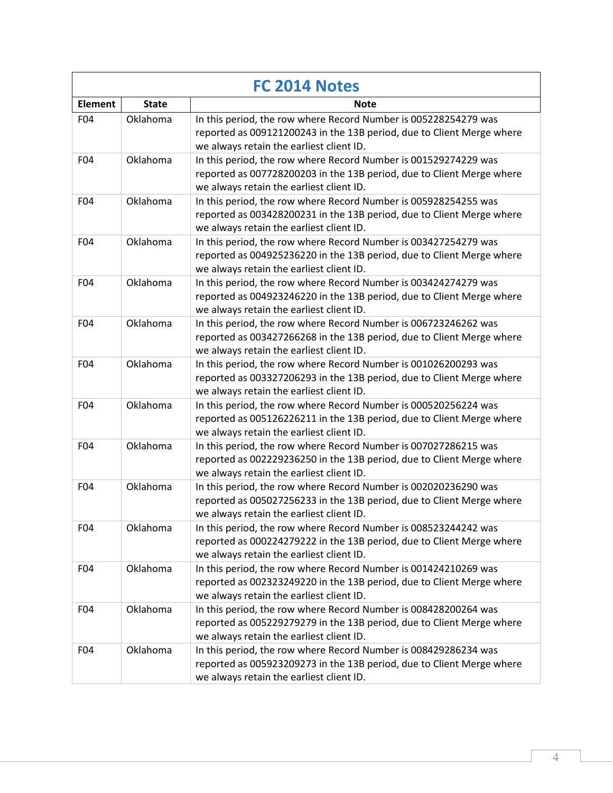| FC 2014 Notes  |              |                                                                                                                                                                                      |
|----------------|--------------|--------------------------------------------------------------------------------------------------------------------------------------------------------------------------------------|
| <b>Element</b> | <b>State</b> | <b>Note</b>                                                                                                                                                                          |
| F04            | Oklahoma     | In this period, the row where Record Number is 005228254279 was<br>reported as 009121200243 in the 13B period, due to Client Merge where<br>we always retain the earliest client ID. |
| F04            | Oklahoma     | In this period, the row where Record Number is 001529274229 was<br>reported as 007728200203 in the 13B period, due to Client Merge where<br>we always retain the earliest client ID. |
| F04            | Oklahoma     | In this period, the row where Record Number is 005928254255 was<br>reported as 003428200231 in the 13B period, due to Client Merge where<br>we always retain the earliest client ID. |
| F04            | Oklahoma     | In this period, the row where Record Number is 003427254279 was<br>reported as 004925236220 in the 13B period, due to Client Merge where<br>we always retain the earliest client ID. |
| F04            | Oklahoma     | In this period, the row where Record Number is 003424274279 was<br>reported as 004923246220 in the 13B period, due to Client Merge where<br>we always retain the earliest client ID. |
| F04            | Oklahoma     | In this period, the row where Record Number is 006723246262 was<br>reported as 003427266268 in the 13B period, due to Client Merge where<br>we always retain the earliest client ID. |
| F04            | Oklahoma     | In this period, the row where Record Number is 001026200293 was<br>reported as 003327206293 in the 13B period, due to Client Merge where<br>we always retain the earliest client ID. |
| F04            | Oklahoma     | In this period, the row where Record Number is 000520256224 was<br>reported as 005126226211 in the 13B period, due to Client Merge where<br>we always retain the earliest client ID. |
| F04            | Oklahoma     | In this period, the row where Record Number is 007027286215 was<br>reported as 002229236250 in the 13B period, due to Client Merge where<br>we always retain the earliest client ID. |
| F04            | Oklahoma     | In this period, the row where Record Number is 002020236290 was<br>reported as 005027256233 in the 13B period, due to Client Merge where<br>we always retain the earliest client ID. |
| F04            | Oklahoma     | In this period, the row where Record Number is 008523244242 was<br>reported as 000224279222 in the 13B period, due to Client Merge where<br>we always retain the earliest client ID. |
| F04            | Oklahoma     | In this period, the row where Record Number is 001424210269 was<br>reported as 002323249220 in the 13B period, due to Client Merge where<br>we always retain the earliest client ID. |
| F04            | Oklahoma     | In this period, the row where Record Number is 008428200264 was<br>reported as 005229279279 in the 13B period, due to Client Merge where<br>we always retain the earliest client ID. |
| F04            | Oklahoma     | In this period, the row where Record Number is 008429286234 was<br>reported as 005923209273 in the 13B period, due to Client Merge where<br>we always retain the earliest client ID. |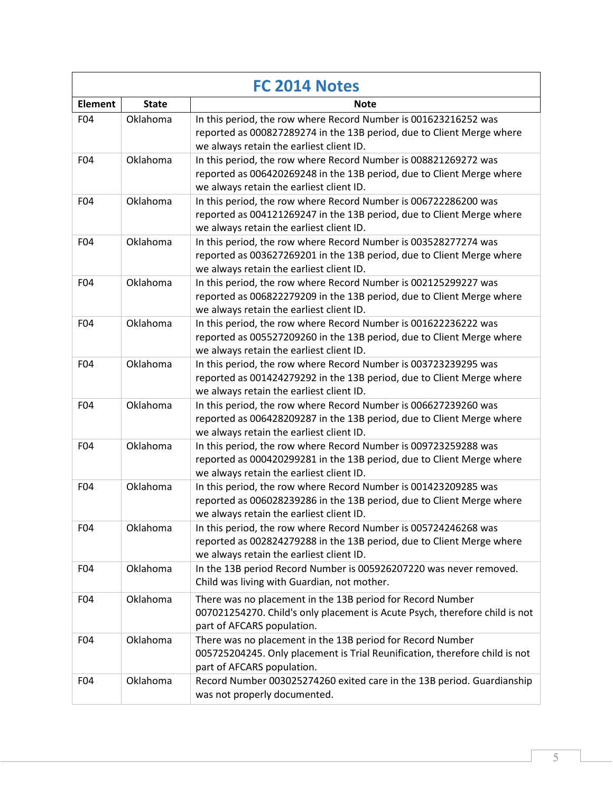| FC 2014 Notes  |              |                                                                                                                                                                                      |
|----------------|--------------|--------------------------------------------------------------------------------------------------------------------------------------------------------------------------------------|
| <b>Element</b> | <b>State</b> | <b>Note</b>                                                                                                                                                                          |
| F04            | Oklahoma     | In this period, the row where Record Number is 001623216252 was<br>reported as 000827289274 in the 13B period, due to Client Merge where<br>we always retain the earliest client ID. |
| F04            | Oklahoma     | In this period, the row where Record Number is 008821269272 was<br>reported as 006420269248 in the 13B period, due to Client Merge where<br>we always retain the earliest client ID. |
| F04            | Oklahoma     | In this period, the row where Record Number is 006722286200 was<br>reported as 004121269247 in the 13B period, due to Client Merge where<br>we always retain the earliest client ID. |
| F04            | Oklahoma     | In this period, the row where Record Number is 003528277274 was<br>reported as 003627269201 in the 13B period, due to Client Merge where<br>we always retain the earliest client ID. |
| F04            | Oklahoma     | In this period, the row where Record Number is 002125299227 was<br>reported as 006822279209 in the 13B period, due to Client Merge where<br>we always retain the earliest client ID. |
| F04            | Oklahoma     | In this period, the row where Record Number is 001622236222 was<br>reported as 005527209260 in the 13B period, due to Client Merge where<br>we always retain the earliest client ID. |
| F04            | Oklahoma     | In this period, the row where Record Number is 003723239295 was<br>reported as 001424279292 in the 13B period, due to Client Merge where<br>we always retain the earliest client ID. |
| F04            | Oklahoma     | In this period, the row where Record Number is 006627239260 was<br>reported as 006428209287 in the 13B period, due to Client Merge where<br>we always retain the earliest client ID. |
| F04            | Oklahoma     | In this period, the row where Record Number is 009723259288 was<br>reported as 000420299281 in the 13B period, due to Client Merge where<br>we always retain the earliest client ID. |
| F04            | Oklahoma     | In this period, the row where Record Number is 001423209285 was<br>reported as 006028239286 in the 13B period, due to Client Merge where<br>we always retain the earliest client ID. |
| F04            | Oklahoma     | In this period, the row where Record Number is 005724246268 was<br>reported as 002824279288 in the 13B period, due to Client Merge where<br>we always retain the earliest client ID. |
| F04            | Oklahoma     | In the 13B period Record Number is 005926207220 was never removed.<br>Child was living with Guardian, not mother.                                                                    |
| F04            | Oklahoma     | There was no placement in the 13B period for Record Number<br>007021254270. Child's only placement is Acute Psych, therefore child is not<br>part of AFCARS population.              |
| F04            | Oklahoma     | There was no placement in the 13B period for Record Number<br>005725204245. Only placement is Trial Reunification, therefore child is not<br>part of AFCARS population.              |
| F04            | Oklahoma     | Record Number 003025274260 exited care in the 13B period. Guardianship<br>was not properly documented.                                                                               |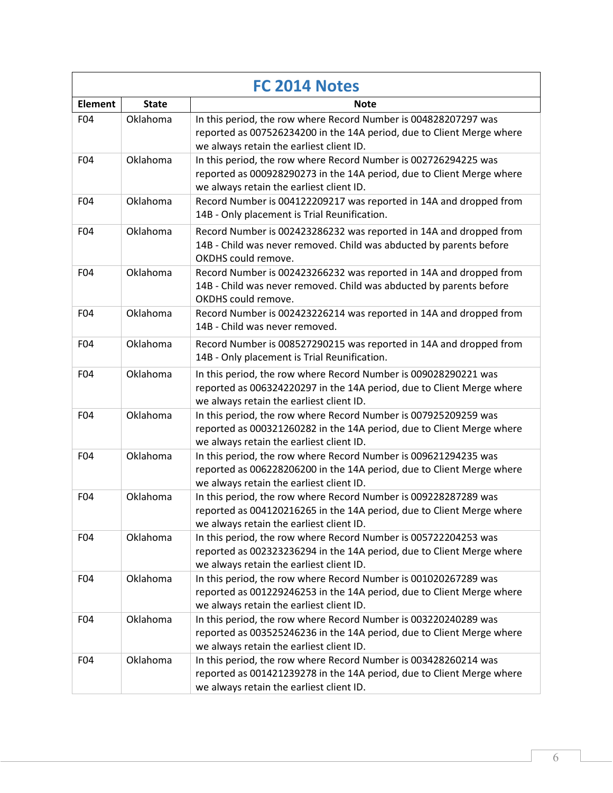| FC 2014 Notes  |              |                                                                                                                                                                                      |
|----------------|--------------|--------------------------------------------------------------------------------------------------------------------------------------------------------------------------------------|
| <b>Element</b> | <b>State</b> | Note                                                                                                                                                                                 |
| F04            | Oklahoma     | In this period, the row where Record Number is 004828207297 was<br>reported as 007526234200 in the 14A period, due to Client Merge where<br>we always retain the earliest client ID. |
| F04            | Oklahoma     | In this period, the row where Record Number is 002726294225 was<br>reported as 000928290273 in the 14A period, due to Client Merge where<br>we always retain the earliest client ID. |
| F04            | Oklahoma     | Record Number is 004122209217 was reported in 14A and dropped from<br>14B - Only placement is Trial Reunification.                                                                   |
| F04            | Oklahoma     | Record Number is 002423286232 was reported in 14A and dropped from<br>14B - Child was never removed. Child was abducted by parents before<br>OKDHS could remove.                     |
| F04            | Oklahoma     | Record Number is 002423266232 was reported in 14A and dropped from<br>14B - Child was never removed. Child was abducted by parents before<br>OKDHS could remove.                     |
| F04            | Oklahoma     | Record Number is 002423226214 was reported in 14A and dropped from<br>14B - Child was never removed.                                                                                 |
| F04            | Oklahoma     | Record Number is 008527290215 was reported in 14A and dropped from<br>14B - Only placement is Trial Reunification.                                                                   |
| F04            | Oklahoma     | In this period, the row where Record Number is 009028290221 was<br>reported as 006324220297 in the 14A period, due to Client Merge where<br>we always retain the earliest client ID. |
| F04            | Oklahoma     | In this period, the row where Record Number is 007925209259 was<br>reported as 000321260282 in the 14A period, due to Client Merge where<br>we always retain the earliest client ID. |
| F04            | Oklahoma     | In this period, the row where Record Number is 009621294235 was<br>reported as 006228206200 in the 14A period, due to Client Merge where<br>we always retain the earliest client ID. |
| F04            | Oklahoma     | In this period, the row where Record Number is 009228287289 was<br>reported as 004120216265 in the 14A period, due to Client Merge where<br>we always retain the earliest client ID. |
| F04            | Oklahoma     | In this period, the row where Record Number is 005722204253 was<br>reported as 002323236294 in the 14A period, due to Client Merge where<br>we always retain the earliest client ID. |
| F04            | Oklahoma     | In this period, the row where Record Number is 001020267289 was<br>reported as 001229246253 in the 14A period, due to Client Merge where<br>we always retain the earliest client ID. |
| F04            | Oklahoma     | In this period, the row where Record Number is 003220240289 was<br>reported as 003525246236 in the 14A period, due to Client Merge where<br>we always retain the earliest client ID. |
| F04            | Oklahoma     | In this period, the row where Record Number is 003428260214 was<br>reported as 001421239278 in the 14A period, due to Client Merge where<br>we always retain the earliest client ID. |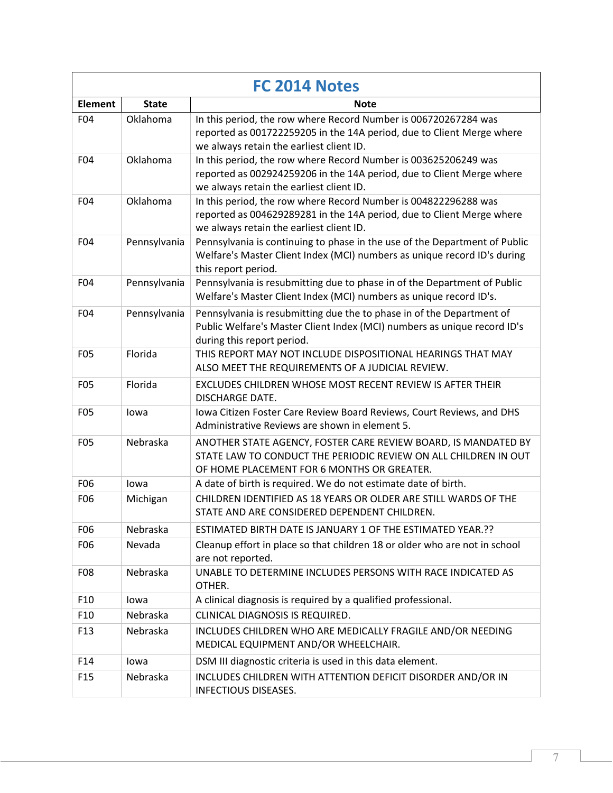| FC 2014 Notes   |              |                                                                                                                                                                                      |
|-----------------|--------------|--------------------------------------------------------------------------------------------------------------------------------------------------------------------------------------|
| <b>Element</b>  | <b>State</b> | Note                                                                                                                                                                                 |
| F04             | Oklahoma     | In this period, the row where Record Number is 006720267284 was<br>reported as 001722259205 in the 14A period, due to Client Merge where<br>we always retain the earliest client ID. |
| F04             | Oklahoma     | In this period, the row where Record Number is 003625206249 was<br>reported as 002924259206 in the 14A period, due to Client Merge where<br>we always retain the earliest client ID. |
| F04             | Oklahoma     | In this period, the row where Record Number is 004822296288 was<br>reported as 004629289281 in the 14A period, due to Client Merge where<br>we always retain the earliest client ID. |
| F04             | Pennsylvania | Pennsylvania is continuing to phase in the use of the Department of Public<br>Welfare's Master Client Index (MCI) numbers as unique record ID's during<br>this report period.        |
| F04             | Pennsylvania | Pennsylvania is resubmitting due to phase in of the Department of Public<br>Welfare's Master Client Index (MCI) numbers as unique record ID's.                                       |
| F04             | Pennsylvania | Pennsylvania is resubmitting due the to phase in of the Department of<br>Public Welfare's Master Client Index (MCI) numbers as unique record ID's<br>during this report period.      |
| F <sub>05</sub> | Florida      | THIS REPORT MAY NOT INCLUDE DISPOSITIONAL HEARINGS THAT MAY<br>ALSO MEET THE REQUIREMENTS OF A JUDICIAL REVIEW.                                                                      |
| F05             | Florida      | EXCLUDES CHILDREN WHOSE MOST RECENT REVIEW IS AFTER THEIR<br><b>DISCHARGE DATE.</b>                                                                                                  |
| F05             | lowa         | Iowa Citizen Foster Care Review Board Reviews, Court Reviews, and DHS<br>Administrative Reviews are shown in element 5.                                                              |
| F05             | Nebraska     | ANOTHER STATE AGENCY, FOSTER CARE REVIEW BOARD, IS MANDATED BY<br>STATE LAW TO CONDUCT THE PERIODIC REVIEW ON ALL CHILDREN IN OUT<br>OF HOME PLACEMENT FOR 6 MONTHS OR GREATER.      |
| F06             | lowa         | A date of birth is required. We do not estimate date of birth.                                                                                                                       |
| F06             | Michigan     | CHILDREN IDENTIFIED AS 18 YEARS OR OLDER ARE STILL WARDS OF THE<br>STATE AND ARE CONSIDERED DEPENDENT CHILDREN.                                                                      |
| F <sub>06</sub> | Nebraska     | ESTIMATED BIRTH DATE IS JANUARY 1 OF THE ESTIMATED YEAR. ??                                                                                                                          |
| F06             | Nevada       | Cleanup effort in place so that children 18 or older who are not in school<br>are not reported.                                                                                      |
| F08             | Nebraska     | UNABLE TO DETERMINE INCLUDES PERSONS WITH RACE INDICATED AS<br>OTHER.                                                                                                                |
| F <sub>10</sub> | lowa         | A clinical diagnosis is required by a qualified professional.                                                                                                                        |
| F <sub>10</sub> | Nebraska     | CLINICAL DIAGNOSIS IS REQUIRED.                                                                                                                                                      |
| F <sub>13</sub> | Nebraska     | INCLUDES CHILDREN WHO ARE MEDICALLY FRAGILE AND/OR NEEDING<br>MEDICAL EQUIPMENT AND/OR WHEELCHAIR.                                                                                   |
| F14             | lowa         | DSM III diagnostic criteria is used in this data element.                                                                                                                            |
| F <sub>15</sub> | Nebraska     | INCLUDES CHILDREN WITH ATTENTION DEFICIT DISORDER AND/OR IN<br><b>INFECTIOUS DISEASES.</b>                                                                                           |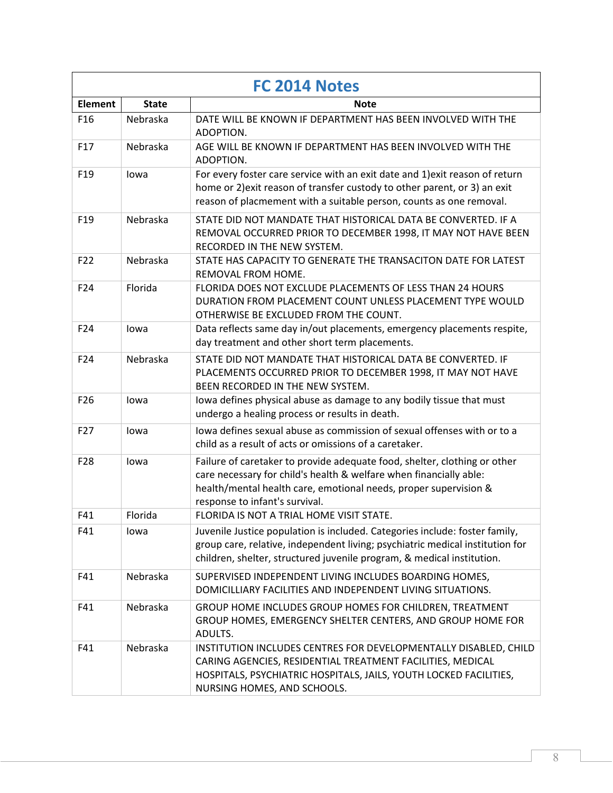| FC 2014 Notes   |              |                                                                                                                                                                                                                                                       |
|-----------------|--------------|-------------------------------------------------------------------------------------------------------------------------------------------------------------------------------------------------------------------------------------------------------|
| <b>Element</b>  | <b>State</b> | Note                                                                                                                                                                                                                                                  |
| F <sub>16</sub> | Nebraska     | DATE WILL BE KNOWN IF DEPARTMENT HAS BEEN INVOLVED WITH THE<br>ADOPTION.                                                                                                                                                                              |
| F17             | Nebraska     | AGE WILL BE KNOWN IF DEPARTMENT HAS BEEN INVOLVED WITH THE<br>ADOPTION.                                                                                                                                                                               |
| F <sub>19</sub> | lowa         | For every foster care service with an exit date and 1) exit reason of return<br>home or 2) exit reason of transfer custody to other parent, or 3) an exit<br>reason of placmement with a suitable person, counts as one removal.                      |
| F <sub>19</sub> | Nebraska     | STATE DID NOT MANDATE THAT HISTORICAL DATA BE CONVERTED. IF A<br>REMOVAL OCCURRED PRIOR TO DECEMBER 1998, IT MAY NOT HAVE BEEN<br>RECORDED IN THE NEW SYSTEM.                                                                                         |
| F22             | Nebraska     | STATE HAS CAPACITY TO GENERATE THE TRANSACITON DATE FOR LATEST<br>REMOVAL FROM HOME.                                                                                                                                                                  |
| F24             | Florida      | FLORIDA DOES NOT EXCLUDE PLACEMENTS OF LESS THAN 24 HOURS<br>DURATION FROM PLACEMENT COUNT UNLESS PLACEMENT TYPE WOULD<br>OTHERWISE BE EXCLUDED FROM THE COUNT.                                                                                       |
| F24             | lowa         | Data reflects same day in/out placements, emergency placements respite,<br>day treatment and other short term placements.                                                                                                                             |
| F24             | Nebraska     | STATE DID NOT MANDATE THAT HISTORICAL DATA BE CONVERTED. IF<br>PLACEMENTS OCCURRED PRIOR TO DECEMBER 1998, IT MAY NOT HAVE<br>BEEN RECORDED IN THE NEW SYSTEM.                                                                                        |
| F <sub>26</sub> | lowa         | lowa defines physical abuse as damage to any bodily tissue that must<br>undergo a healing process or results in death.                                                                                                                                |
| F27             | lowa         | lowa defines sexual abuse as commission of sexual offenses with or to a<br>child as a result of acts or omissions of a caretaker.                                                                                                                     |
| F28             | lowa         | Failure of caretaker to provide adequate food, shelter, clothing or other<br>care necessary for child's health & welfare when financially able:<br>health/mental health care, emotional needs, proper supervision &<br>response to infant's survival. |
| F41             | Florida      | FLORIDA IS NOT A TRIAL HOME VISIT STATE.                                                                                                                                                                                                              |
| F41             | lowa         | Juvenile Justice population is included. Categories include: foster family,<br>group care, relative, independent living; psychiatric medical institution for<br>children, shelter, structured juvenile program, & medical institution.                |
| F41             | Nebraska     | SUPERVISED INDEPENDENT LIVING INCLUDES BOARDING HOMES,<br>DOMICILLIARY FACILITIES AND INDEPENDENT LIVING SITUATIONS.                                                                                                                                  |
| F41             | Nebraska     | GROUP HOME INCLUDES GROUP HOMES FOR CHILDREN, TREATMENT<br>GROUP HOMES, EMERGENCY SHELTER CENTERS, AND GROUP HOME FOR<br>ADULTS.                                                                                                                      |
| F41             | Nebraska     | INSTITUTION INCLUDES CENTRES FOR DEVELOPMENTALLY DISABLED, CHILD<br>CARING AGENCIES, RESIDENTIAL TREATMENT FACILITIES, MEDICAL<br>HOSPITALS, PSYCHIATRIC HOSPITALS, JAILS, YOUTH LOCKED FACILITIES,<br>NURSING HOMES, AND SCHOOLS.                    |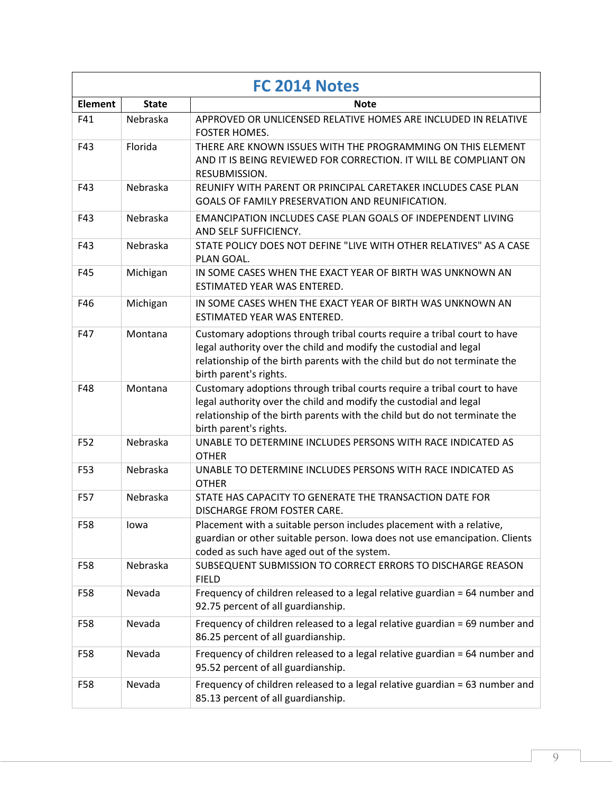| <b>FC 2014 Notes</b> |              |                                                                                                                                                                                                                                                      |
|----------------------|--------------|------------------------------------------------------------------------------------------------------------------------------------------------------------------------------------------------------------------------------------------------------|
| <b>Element</b>       | <b>State</b> | Note                                                                                                                                                                                                                                                 |
| F41                  | Nebraska     | APPROVED OR UNLICENSED RELATIVE HOMES ARE INCLUDED IN RELATIVE<br><b>FOSTER HOMES.</b>                                                                                                                                                               |
| F43                  | Florida      | THERE ARE KNOWN ISSUES WITH THE PROGRAMMING ON THIS ELEMENT<br>AND IT IS BEING REVIEWED FOR CORRECTION. IT WILL BE COMPLIANT ON<br>RESUBMISSION.                                                                                                     |
| F43                  | Nebraska     | REUNIFY WITH PARENT OR PRINCIPAL CARETAKER INCLUDES CASE PLAN<br>GOALS OF FAMILY PRESERVATION AND REUNIFICATION.                                                                                                                                     |
| F43                  | Nebraska     | <b>EMANCIPATION INCLUDES CASE PLAN GOALS OF INDEPENDENT LIVING</b><br>AND SELF SUFFICIENCY.                                                                                                                                                          |
| F43                  | Nebraska     | STATE POLICY DOES NOT DEFINE "LIVE WITH OTHER RELATIVES" AS A CASE<br>PLAN GOAL.                                                                                                                                                                     |
| F45                  | Michigan     | IN SOME CASES WHEN THE EXACT YEAR OF BIRTH WAS UNKNOWN AN<br>ESTIMATED YEAR WAS ENTERED.                                                                                                                                                             |
| F46                  | Michigan     | IN SOME CASES WHEN THE EXACT YEAR OF BIRTH WAS UNKNOWN AN<br>ESTIMATED YEAR WAS ENTERED.                                                                                                                                                             |
| F47                  | Montana      | Customary adoptions through tribal courts require a tribal court to have<br>legal authority over the child and modify the custodial and legal<br>relationship of the birth parents with the child but do not terminate the<br>birth parent's rights. |
| F48                  | Montana      | Customary adoptions through tribal courts require a tribal court to have<br>legal authority over the child and modify the custodial and legal<br>relationship of the birth parents with the child but do not terminate the<br>birth parent's rights. |
| F52                  | Nebraska     | UNABLE TO DETERMINE INCLUDES PERSONS WITH RACE INDICATED AS<br><b>OTHER</b>                                                                                                                                                                          |
| F53                  | Nebraska     | UNABLE TO DETERMINE INCLUDES PERSONS WITH RACE INDICATED AS<br><b>OTHER</b>                                                                                                                                                                          |
| F57                  | Nebraska     | STATE HAS CAPACITY TO GENERATE THE TRANSACTION DATE FOR<br>DISCHARGE FROM FOSTER CARE.                                                                                                                                                               |
| F58                  | lowa         | Placement with a suitable person includes placement with a relative,<br>guardian or other suitable person. Iowa does not use emancipation. Clients<br>coded as such have aged out of the system.                                                     |
| F58                  | Nebraska     | SUBSEQUENT SUBMISSION TO CORRECT ERRORS TO DISCHARGE REASON<br><b>FIELD</b>                                                                                                                                                                          |
| F58                  | Nevada       | Frequency of children released to a legal relative guardian = 64 number and<br>92.75 percent of all guardianship.                                                                                                                                    |
| F58                  | Nevada       | Frequency of children released to a legal relative guardian = 69 number and<br>86.25 percent of all guardianship.                                                                                                                                    |
| F58                  | Nevada       | Frequency of children released to a legal relative guardian = 64 number and<br>95.52 percent of all guardianship.                                                                                                                                    |
| F58                  | Nevada       | Frequency of children released to a legal relative guardian = 63 number and<br>85.13 percent of all guardianship.                                                                                                                                    |